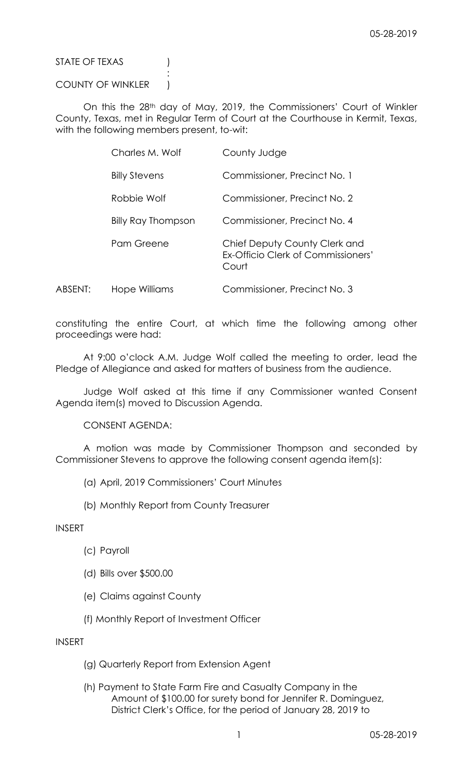STATE OF TEXAS (1)

### COUNTY OF WINKLER )

:

On this the 28th day of May, 2019, the Commissioners' Court of Winkler County, Texas, met in Regular Term of Court at the Courthouse in Kermit, Texas, with the following members present, to-wit:

|         | Charles M. Wolf      | County Judge                                                                 |
|---------|----------------------|------------------------------------------------------------------------------|
|         | <b>Billy Stevens</b> | Commissioner, Precinct No. 1                                                 |
|         | Robbie Wolf          | Commissioner, Precinct No. 2                                                 |
|         | Billy Ray Thompson   | Commissioner, Precinct No. 4                                                 |
|         | Pam Greene           | Chief Deputy County Clerk and<br>Ex-Officio Clerk of Commissioners'<br>Court |
| ABSENT: | Hope Williams        | Commissioner, Precinct No. 3                                                 |

constituting the entire Court, at which time the following among other proceedings were had:

At 9:00 o'clock A.M. Judge Wolf called the meeting to order, lead the Pledge of Allegiance and asked for matters of business from the audience.

Judge Wolf asked at this time if any Commissioner wanted Consent Agenda item(s) moved to Discussion Agenda.

#### CONSENT AGENDA:

A motion was made by Commissioner Thompson and seconded by Commissioner Stevens to approve the following consent agenda item(s):

- (a) April, 2019 Commissioners' Court Minutes
- (b) Monthly Report from County Treasurer

#### INSERT

- (c) Payroll
- (d) Bills over \$500.00
- (e) Claims against County
- (f) Monthly Report of Investment Officer

### INSERT

- (g) Quarterly Report from Extension Agent
- (h) Payment to State Farm Fire and Casualty Company in the Amount of \$100.00 for surety bond for Jennifer R. Dominguez, District Clerk's Office, for the period of January 28, 2019 to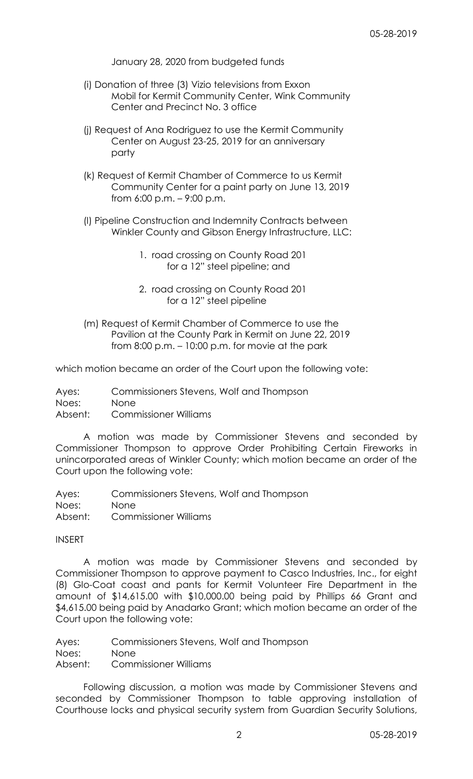January 28, 2020 from budgeted funds

- (i) Donation of three (3) Vizio televisions from Exxon Mobil for Kermit Community Center, Wink Community Center and Precinct No. 3 office
- (j) Request of Ana Rodriguez to use the Kermit Community Center on August 23-25, 2019 for an anniversary party
- (k) Request of Kermit Chamber of Commerce to us Kermit Community Center for a paint party on June 13, 2019 from 6:00 p.m. – 9:00 p.m.
- (l) Pipeline Construction and Indemnity Contracts between Winkler County and Gibson Energy Infrastructure, LLC:
	- 1. road crossing on County Road 201 for a 12" steel pipeline; and
	- 2. road crossing on County Road 201 for a 12" steel pipeline
- (m) Request of Kermit Chamber of Commerce to use the Pavilion at the County Park in Kermit on June 22, 2019 from 8:00 p.m. – 10:00 p.m. for movie at the park

which motion became an order of the Court upon the following vote:

Ayes: Commissioners Stevens, Wolf and Thompson Noes: None Absent: Commissioner Williams

A motion was made by Commissioner Stevens and seconded by Commissioner Thompson to approve Order Prohibiting Certain Fireworks in unincorporated areas of Winkler County; which motion became an order of the Court upon the following vote:

Ayes: Commissioners Stevens, Wolf and Thompson Noes: None Absent: Commissioner Williams

# INSERT

A motion was made by Commissioner Stevens and seconded by Commissioner Thompson to approve payment to Casco Industries, Inc., for eight (8) Glo-Coat coast and pants for Kermit Volunteer Fire Department in the amount of \$14,615.00 with \$10,000.00 being paid by Phillips 66 Grant and \$4,615.00 being paid by Anadarko Grant; which motion became an order of the Court upon the following vote:

Ayes: Commissioners Stevens, Wolf and Thompson Noes: None Absent: Commissioner Williams

Following discussion, a motion was made by Commissioner Stevens and seconded by Commissioner Thompson to table approving installation of Courthouse locks and physical security system from Guardian Security Solutions,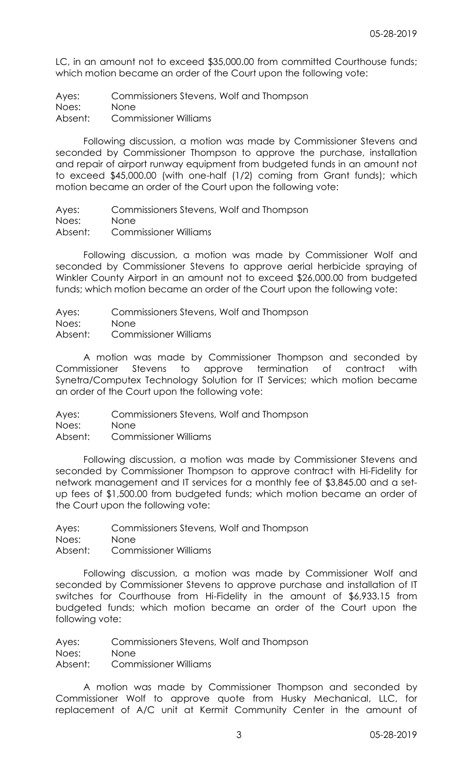LC, in an amount not to exceed \$35,000.00 from committed Courthouse funds; which motion became an order of the Court upon the following vote:

Ayes: Commissioners Stevens, Wolf and Thompson

Noes: None

Absent: Commissioner Williams

Following discussion, a motion was made by Commissioner Stevens and seconded by Commissioner Thompson to approve the purchase, installation and repair of airport runway equipment from budgeted funds in an amount not to exceed \$45,000.00 (with one-half (1/2) coming from Grant funds); which motion became an order of the Court upon the following vote:

Ayes: Commissioners Stevens, Wolf and Thompson

Noes: None

Absent: Commissioner Williams

Following discussion, a motion was made by Commissioner Wolf and seconded by Commissioner Stevens to approve aerial herbicide spraying of Winkler County Airport in an amount not to exceed \$26,000.00 from budgeted funds; which motion became an order of the Court upon the following vote:

Ayes: Commissioners Stevens, Wolf and Thompson

Noes: None

Absent: Commissioner Williams

A motion was made by Commissioner Thompson and seconded by Commissioner Stevens to approve termination of contract with Synetra/Computex Technology Solution for IT Services; which motion became an order of the Court upon the following vote:

Ayes: Commissioners Stevens, Wolf and Thompson

Noes: None

Absent: Commissioner Williams

Following discussion, a motion was made by Commissioner Stevens and seconded by Commissioner Thompson to approve contract with Hi-Fidelity for network management and IT services for a monthly fee of \$3,845.00 and a setup fees of \$1,500.00 from budgeted funds; which motion became an order of the Court upon the following vote:

Ayes: Commissioners Stevens, Wolf and Thompson Noes: None Absent: Commissioner Williams

Following discussion, a motion was made by Commissioner Wolf and seconded by Commissioner Stevens to approve purchase and installation of IT switches for Courthouse from Hi-Fidelity in the amount of \$6,933.15 from budgeted funds; which motion became an order of the Court upon the following vote:

Ayes: Commissioners Stevens, Wolf and Thompson Noes: None Absent: Commissioner Williams

A motion was made by Commissioner Thompson and seconded by Commissioner Wolf to approve quote from Husky Mechanical, LLC, for replacement of A/C unit at Kermit Community Center in the amount of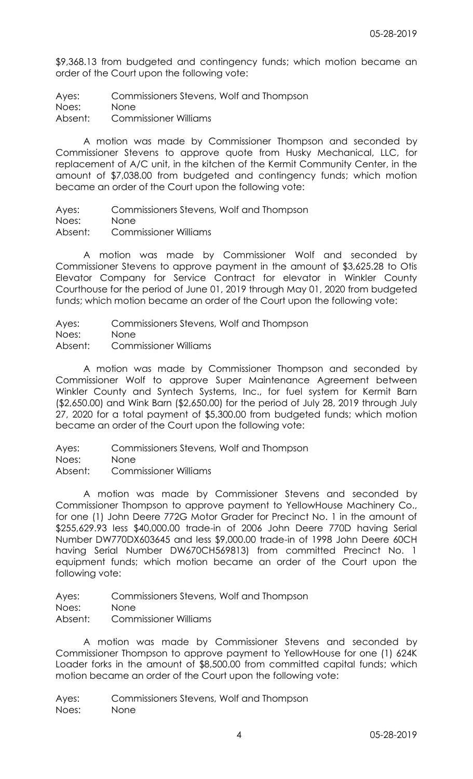\$9,368.13 from budgeted and contingency funds; which motion became an order of the Court upon the following vote:

Ayes: Commissioners Stevens, Wolf and Thompson

Noes: None

Absent: Commissioner Williams

A motion was made by Commissioner Thompson and seconded by Commissioner Stevens to approve quote from Husky Mechanical, LLC, for replacement of A/C unit, in the kitchen of the Kermit Community Center, in the amount of \$7,038.00 from budgeted and contingency funds; which motion became an order of the Court upon the following vote:

Ayes: Commissioners Stevens, Wolf and Thompson

Noes: None

Absent: Commissioner Williams

A motion was made by Commissioner Wolf and seconded by Commissioner Stevens to approve payment in the amount of \$3,625.28 to Otis Elevator Company for Service Contract for elevator in Winkler County Courthouse for the period of June 01, 2019 through May 01, 2020 from budgeted funds; which motion became an order of the Court upon the following vote:

Ayes: Commissioners Stevens, Wolf and Thompson

Noes: None

Absent: Commissioner Williams

A motion was made by Commissioner Thompson and seconded by Commissioner Wolf to approve Super Maintenance Agreement between Winkler County and Syntech Systems, Inc., for fuel system for Kermit Barn (\$2,650.00) and Wink Barn (\$2,650.00) for the period of July 28, 2019 through July 27, 2020 for a total payment of \$5,300.00 from budgeted funds; which motion became an order of the Court upon the following vote:

- Ayes: Commissioners Stevens, Wolf and Thompson
- Noes: None

Absent: Commissioner Williams

A motion was made by Commissioner Stevens and seconded by Commissioner Thompson to approve payment to YellowHouse Machinery Co., for one (1) John Deere 772G Motor Grader for Precinct No. 1 in the amount of \$255,629.93 less \$40,000.00 trade-in of 2006 John Deere 770D having Serial Number DW770DX603645 and less \$9,000.00 trade-in of 1998 John Deere 60CH having Serial Number DW670CH569813) from committed Precinct No. 1 equipment funds; which motion became an order of the Court upon the following vote:

Ayes: Commissioners Stevens, Wolf and Thompson

Noes: None

Absent: Commissioner Williams

A motion was made by Commissioner Stevens and seconded by Commissioner Thompson to approve payment to YellowHouse for one (1) 624K Loader forks in the amount of \$8,500.00 from committed capital funds; which motion became an order of the Court upon the following vote:

Ayes: Commissioners Stevens, Wolf and Thompson Noes: None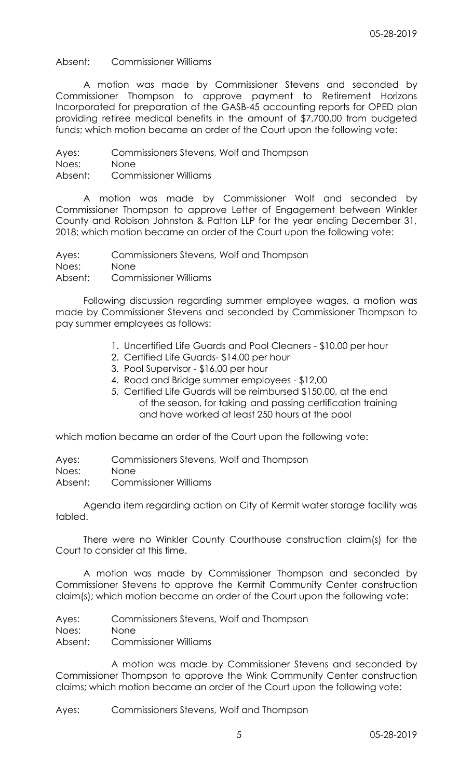Absent: Commissioner Williams

A motion was made by Commissioner Stevens and seconded by Commissioner Thompson to approve payment to Retirement Horizons Incorporated for preparation of the GASB-45 accounting reports for OPED plan providing retiree medical benefits in the amount of \$7,700.00 from budgeted funds; which motion became an order of the Court upon the following vote:

Ayes: Commissioners Stevens, Wolf and Thompson Noes: None Absent: Commissioner Williams

A motion was made by Commissioner Wolf and seconded by Commissioner Thompson to approve Letter of Engagement between Winkler County and Robison Johnston & Patton LLP for the year ending December 31, 2018; which motion became an order of the Court upon the following vote:

Ayes: Commissioners Stevens, Wolf and Thompson Noes: None Absent: Commissioner Williams

Following discussion regarding summer employee wages, a motion was made by Commissioner Stevens and seconded by Commissioner Thompson to pay summer employees as follows:

- 1. Uncertified Life Guards and Pool Cleaners \$10.00 per hour
- 2. Certified Life Guards- \$14.00 per hour
- 3. Pool Supervisor \$16.00 per hour
- 4. Road and Bridge summer employees \$12,00
- 5. Certified Life Guards will be reimbursed \$150.00, at the end of the season, for taking and passing certification training and have worked at least 250 hours at the pool

which motion became an order of the Court upon the following vote:

Ayes: Commissioners Stevens, Wolf and Thompson Noes: None Absent: Commissioner Williams

Agenda item regarding action on City of Kermit water storage facility was tabled.

There were no Winkler County Courthouse construction claim(s) for the Court to consider at this time.

A motion was made by Commissioner Thompson and seconded by Commissioner Stevens to approve the Kermit Community Center construction claim(s); which motion became an order of the Court upon the following vote:

Ayes: Commissioners Stevens, Wolf and Thompson Noes: None

Absent: Commissioner Williams

A motion was made by Commissioner Stevens and seconded by Commissioner Thompson to approve the Wink Community Center construction claims; which motion became an order of the Court upon the following vote:

Ayes: Commissioners Stevens, Wolf and Thompson